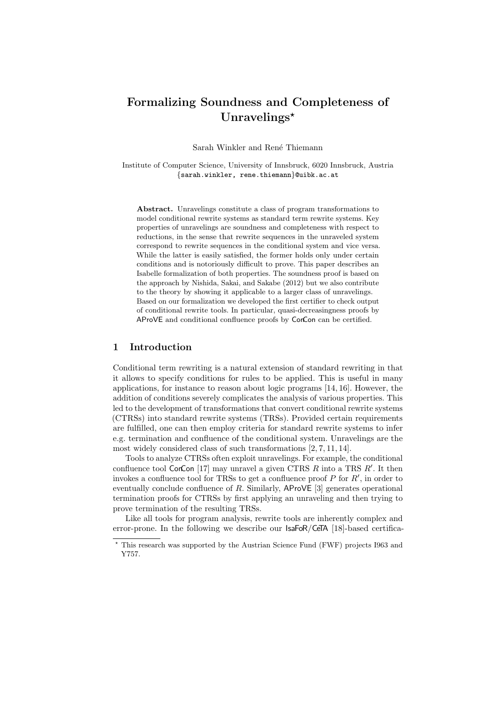# Formalizing Soundness and Completeness of Unravelings $*$

Sarah Winkler and René Thiemann

Institute of Computer Science, University of Innsbruck, 6020 Innsbruck, Austria {sarah.winkler, rene.thiemann}@uibk.ac.at

Abstract. Unravelings constitute a class of program transformations to model conditional rewrite systems as standard term rewrite systems. Key properties of unravelings are soundness and completeness with respect to reductions, in the sense that rewrite sequences in the unraveled system correspond to rewrite sequences in the conditional system and vice versa. While the latter is easily satisfied, the former holds only under certain conditions and is notoriously difficult to prove. This paper describes an Isabelle formalization of both properties. The soundness proof is based on the approach by Nishida, Sakai, and Sakabe (2012) but we also contribute to the theory by showing it applicable to a larger class of unravelings. Based on our formalization we developed the first certifier to check output of conditional rewrite tools. In particular, quasi-decreasingness proofs by AProVE and conditional confluence proofs by ConCon can be certified.

## 1 Introduction

Conditional term rewriting is a natural extension of standard rewriting in that it allows to specify conditions for rules to be applied. This is useful in many applications, for instance to reason about logic programs [14, 16]. However, the addition of conditions severely complicates the analysis of various properties. This led to the development of transformations that convert conditional rewrite systems (CTRSs) into standard rewrite systems (TRSs). Provided certain requirements are fulfilled, one can then employ criteria for standard rewrite systems to infer e.g. termination and confluence of the conditional system. Unravelings are the most widely considered class of such transformations [2, 7, 11, 14].

Tools to analyze CTRSs often exploit unravelings. For example, the conditional confluence tool ConCon [17] may unravel a given CTRS  $R$  into a TRS  $R'$ . It then invokes a confluence tool for TRSs to get a confluence proof  $P$  for  $R'$ , in order to eventually conclude confluence of  $R$ . Similarly, AProVE [3] generates operational termination proofs for CTRSs by first applying an unraveling and then trying to prove termination of the resulting TRSs.

Like all tools for program analysis, rewrite tools are inherently complex and error-prone. In the following we describe our IsaFoR/CeTA [18]-based certifica-

<sup>?</sup> This research was supported by the Austrian Science Fund (FWF) projects I963 and Y757.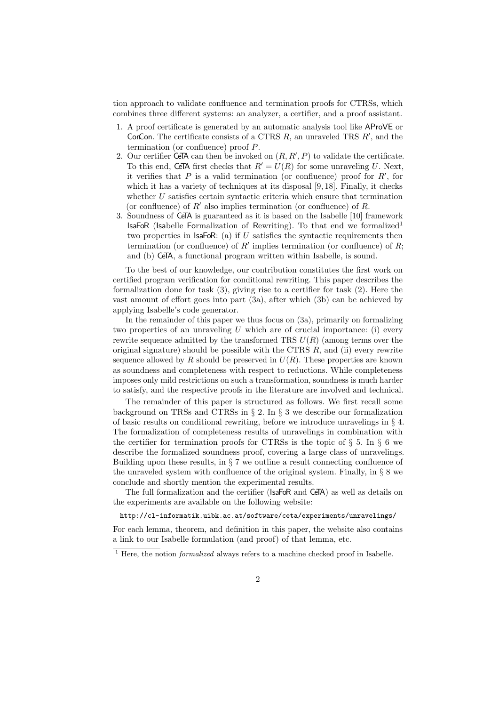tion approach to validate confluence and termination proofs for CTRSs, which combines three different systems: an analyzer, a certifier, and a proof assistant.

- 1. A proof certificate is generated by an automatic analysis tool like AProVE or ConCon. The certificate consists of a CTRS  $R$ , an unraveled TRS  $R'$ , and the termination (or confluence) proof P.
- 2. Our certifier CeTA can then be invoked on  $(R, R', P)$  to validate the certificate. To this end, CeTA first checks that  $R' = U(R)$  for some unraveling U. Next, it verifies that  $P$  is a valid termination (or confluence) proof for  $R'$ , for which it has a variety of techniques at its disposal [9, 18]. Finally, it checks whether  $U$  satisfies certain syntactic criteria which ensure that termination (or confluence) of  $R'$  also implies termination (or confluence) of  $R$ .
- 3. Soundness of CeTA is guaranteed as it is based on the Isabelle [10] framework IsaFoR (Isabelle Formalization of Rewriting). To that end we formalized<sup>1</sup> two properties in  $IsaFoR$ : (a) if U satisfies the syntactic requirements then termination (or confluence) of  $R'$  implies termination (or confluence) of  $R$ ; and (b) CeTA, a functional program written within Isabelle, is sound.

To the best of our knowledge, our contribution constitutes the first work on certified program verification for conditional rewriting. This paper describes the formalization done for task (3), giving rise to a certifier for task (2). Here the vast amount of effort goes into part (3a), after which (3b) can be achieved by applying Isabelle's code generator.

In the remainder of this paper we thus focus on (3a), primarily on formalizing two properties of an unraveling  $U$  which are of crucial importance: (i) every rewrite sequence admitted by the transformed TRS  $U(R)$  (among terms over the original signature) should be possible with the CTRS  $R$ , and (ii) every rewrite sequence allowed by R should be preserved in  $U(R)$ . These properties are known as soundness and completeness with respect to reductions. While completeness imposes only mild restrictions on such a transformation, soundness is much harder to satisfy, and the respective proofs in the literature are involved and technical.

The remainder of this paper is structured as follows. We first recall some background on TRSs and CTRSs in  $\S 2$ . In  $\S 3$  we describe our formalization of basic results on conditional rewriting, before we introduce unravelings in  $\S$  4. The formalization of completeness results of unravelings in combination with the certifier for termination proofs for CTRSs is the topic of  $\S 5$ . In  $\S 6$  we describe the formalized soundness proof, covering a large class of unravelings. Building upon these results, in  $\S 7$  we outline a result connecting confluence of the unraveled system with confluence of the original system. Finally, in § 8 we conclude and shortly mention the experimental results.

The full formalization and the certifier (IsaFoR and CeTA) as well as details on the experiments are available on the following website:

http://cl-informatik.uibk.ac.at/software/ceta/experiments/unravelings/

For each lemma, theorem, and definition in this paper, the website also contains a link to our Isabelle formulation (and proof) of that lemma, etc.

 $^{\rm 1}$  Here, the notion  $formalized$  always refers to a machine checked proof in Isabelle.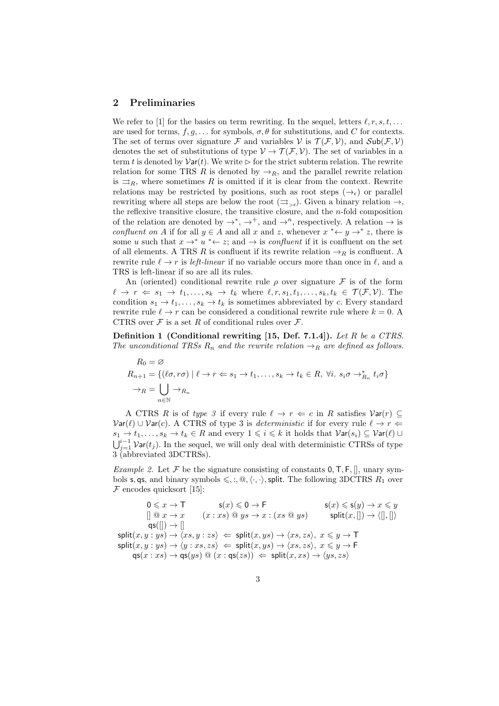## 2 Preliminaries

We refer to [1] for the basics on term rewriting. In the sequel, letters  $\ell, r, s, t, \ldots$ are used for terms,  $f, g, \ldots$  for symbols,  $\sigma, \theta$  for substitutions, and C for contexts. The set of terms over signature F and variables V is  $\mathcal{T}(\mathcal{F}, V)$ , and  $\mathcal{S}ub(\mathcal{F}, V)$ denotes the set of substitutions of type  $\mathcal{V} \to \mathcal{T}(\mathcal{F}, \mathcal{V})$ . The set of variables in a term t is denoted by  $\mathcal{V}ar(t)$ . We write  $\triangleright$  for the strict subterm relation. The rewrite relation for some TRS R is denoted by  $\rightarrow_R$ , and the parallel rewrite relation is  $\Rightarrow$ <sub>R</sub>, where sometimes R is omitted if it is clear from the context. Rewrite relations may be restricted by positions, such as root steps  $(\rightarrow_{\epsilon})$  or parallel rewriting where all steps are below the root  $(\Rightarrow_{\geq \epsilon})$ . Given a binary relation  $\rightarrow$ , the reflexive transitive closure, the transitive closure, and the  $n$ -fold composition of the relation are denoted by  $\rightarrow^*$ ,  $\rightarrow^+$ , and  $\rightarrow^n$ , respectively. A relation  $\rightarrow$  is confluent on A if for all  $y \in A$  and all x and z, whenever  $x^* \leftarrow y \rightarrow^* z$ , there is some u such that  $x \to^* u^* \leftarrow z$ ; and  $\to$  is *confluent* if it is confluent on the set of all elements. A TRS R is confluent if its rewrite relation  $\rightarrow_R$  is confluent. A rewrite rule  $\ell \to r$  is *left-linear* if no variable occurs more than once in  $\ell$ , and a TRS is left-linear if so are all its rules.

An (oriented) conditional rewrite rule  $\rho$  over signature F is of the form  $\ell \to r \Leftarrow s_1 \to t_1, \ldots, s_k \to t_k$  where  $\ell, r, s_1, t_1, \ldots, s_k, t_k \in \mathcal{T}(\mathcal{F}, \mathcal{V})$ . The condition  $s_1 \to t_1, \ldots, s_k \to t_k$  is sometimes abbreviated by c. Every standard rewrite rule  $\ell \to r$  can be considered a conditional rewrite rule where  $k = 0$ . CTRS over  $\mathcal F$  is a set R of conditional rules over  $\mathcal F$ .

**Definition 1** (Conditional rewriting [15, Def. 7.1.4]). Let R be a CTRS. The unconditional TRSs  $R_n$  and the rewrite relation  $\rightarrow_R$  are defined as follows.

$$
R_0 = \varnothing
$$
  
\n
$$
R_{n+1} = \{ (\ell \sigma, r \sigma) \mid \ell \to r \Leftarrow s_1 \to t_1, \dots, s_k \to t_k \in R, \forall i. \ s_i \sigma \to_{R_n}^* t_i \sigma \}
$$
  
\n
$$
\to_R = \bigcup_{n \in \mathbb{N}} \to_{R_n}
$$

A CTRS R is of type 3 if every rule  $\ell \to r \Leftarrow c$  in R satisfies  $Var(r) \subseteq$  $Var(\ell) \cup Var(c)$ . A CTRS of type 3 is *deterministic* if for every rule  $\ell \rightarrow r \Leftarrow$  $s_1 \to t_1, \ldots, s_k \to t_k \in R$  and every  $1 \leq i \leq k$  it holds that  $\mathcal{V}\text{ar}(s_i) \subseteq \mathcal{V}\text{ar}(\ell) \cup$  $\bigcup_{j=1}^{i-1}$ Var $(t_j)$ . In the sequel, we will only deal with deterministic CTRSs of type 3 (abbreviated 3DCTRSs).

*Example 2.* Let F be the signature consisting of constants  $0, T, F, []$ , unary symbols s, qs, and binary symbols  $\leq$ , :,  $\mathcal{Q}, \langle \cdot, \cdot \rangle$ , split. The following 3DCTRS  $R_1$  over  $\mathcal F$  encodes quicksort [15]:

$$
\begin{array}{cc} 0 \leqslant x \rightarrow \mathsf{T} & \mathsf{s}(x) \leqslant 0 \rightarrow \mathsf{F} & \mathsf{s}(x) \leqslant \mathsf{s}(y) \rightarrow x \leqslant y \\ \left[\right] @x \rightarrow x & (x:xs) @ys \rightarrow x: (xs @ys) & \mathsf{split}(x,\left[\right]) \rightarrow \left\langle\right]\right\rangle \\ \mathsf{q}\mathsf{s}(\left[\right]) \rightarrow \left[\right] & \\ \mathsf{split}(x,y:ys) \rightarrow \langle xs,y:zs \rangle \iff \mathsf{split}(x,ys) \rightarrow \langle xs,zs \rangle,\ x \leqslant y \rightarrow \mathsf{T} \\ \mathsf{split}(x,y:ys) \rightarrow \langle y:xs,zs \rangle \iff \mathsf{split}(x,ys) \rightarrow \langle xs,zs \rangle,\ x \leqslant y \rightarrow \mathsf{F} \\ \mathsf{q}\mathsf{s}(x:xs) \rightarrow \mathsf{q}\mathsf{s}(ys) @\ (x: \mathsf{q}\mathsf{s}(zs)) \iff \mathsf{split}(x,xs) \rightarrow \langle ys,zs \rangle \end{array}
$$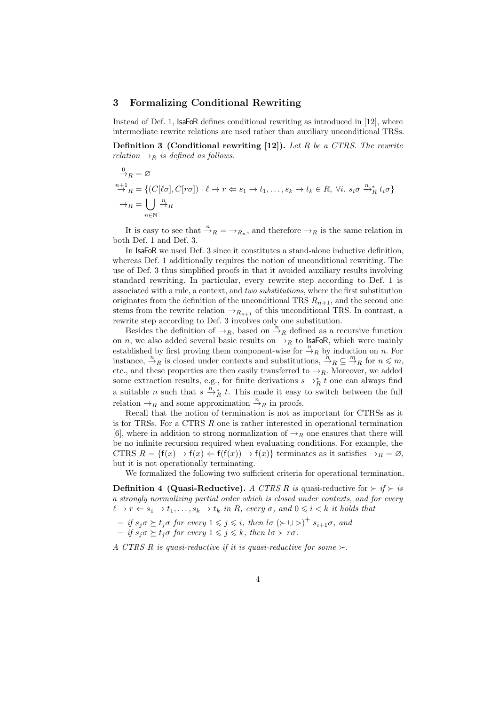## 3 Formalizing Conditional Rewriting

Instead of Def. 1, IsaFoR defines conditional rewriting as introduced in [12], where intermediate rewrite relations are used rather than auxiliary unconditional TRSs.

**Definition 3 (Conditional rewriting [12]).** Let R be a CTRS. The rewrite relation  $\rightarrow_R$  is defined as follows.

$$
\begin{aligned}\n\stackrel{0}{\to}_{R} &= \varnothing \\
\stackrel{n+1}{\to}_{R} &= \{ (C[\ell \sigma], C[r\sigma]) \mid \ell \to r \Leftarrow s_1 \to t_1, \dots, s_k \to t_k \in R, \ \forall i. \ s_i \sigma \stackrel{n,*}{\to}_{R} t_i \sigma \} \\
\to_{R} &= \bigcup_{n \in \mathbb{N}} \stackrel{n}{\to}_{R} \end{aligned}
$$

It is easy to see that  $\stackrel{n}{\rightarrow}_R = \rightarrow_{R_n}$ , and therefore  $\rightarrow_R$  is the same relation in both Def. 1 and Def. 3.

In IsaFoR we used Def. 3 since it constitutes a stand-alone inductive definition, whereas Def. 1 additionally requires the notion of unconditional rewriting. The use of Def. 3 thus simplified proofs in that it avoided auxiliary results involving standard rewriting. In particular, every rewrite step according to Def. 1 is associated with a rule, a context, and two substitutions, where the first substitution originates from the definition of the unconditional TRS  $R_{n+1}$ , and the second one stems from the rewrite relation  $\rightarrow_{R_{n+1}}$  of this unconditional TRS. In contrast, a rewrite step according to Def. 3 involves only one substitution.

Besides the definition of  $\rightarrow_R$ , based on  $\stackrel{n}{\rightarrow}_R$  defined as a recursive function on *n*, we also added several basic results on  $\rightarrow$ <sub>R</sub> to **IsaFoR**, which were mainly established by first proving them component-wise for  $\stackrel{n}{\rightarrow}_R$  by induction on n. For instance,  $\stackrel{n}{\rightarrow}_R$  is closed under contexts and substitutions,  $\stackrel{n}{\rightarrow}_R \subseteq \stackrel{m}{\rightarrow}_R$  for  $n \leq m$ , etc., and these properties are then easily transferred to  $\rightarrow_R$ . Moreover, we added some extraction results, e.g., for finite derivations  $s \rightarrow_R^* t$  one can always find a suitable *n* such that  $s \stackrel{n}{\rightarrow}_R^* t$ . This made it easy to switch between the full relation  $\rightarrow_R$  and some approximation  $\stackrel{n}{\rightarrow}_R$  in proofs.

Recall that the notion of termination is not as important for CTRSs as it is for TRSs. For a CTRS  $R$  one is rather interested in operational termination [6], where in addition to strong normalization of  $\rightarrow_R$  one ensures that there will be no infinite recursion required when evaluating conditions. For example, the CTRS  $R = \{f(x) \to f(x) \in f(f(x)) \to f(x)\}\$  terminates as it satisfies  $\to_R = \emptyset$ , but it is not operationally terminating.

We formalized the following two sufficient criteria for operational termination.

**Definition 4 (Quasi-Reductive).** A CTRS R is quasi-reductive for  $\succ$  if  $\succ$  is a strongly normalizing partial order which is closed under contexts, and for every  $\ell \to r \Leftarrow s_1 \to t_1, \ldots, s_k \to t_k$  in R, every  $\sigma$ , and  $0 \leq i \leq k$  it holds that

 $-$  if  $s_j \sigma \succeq t_j \sigma$  for every  $1 \leqslant j \leqslant i$ , then  $l \sigma \left( \succ \cup \rhd \right)^+ s_{i+1} \sigma$ , and  $-$  if  $s_j \sigma \succeq t_j \sigma$  for every  $1 \leqslant j \leqslant k$ , then  $l \sigma \succ r \sigma$ .

A CTRS R is quasi-reductive if it is quasi-reductive for some  $\succ$ .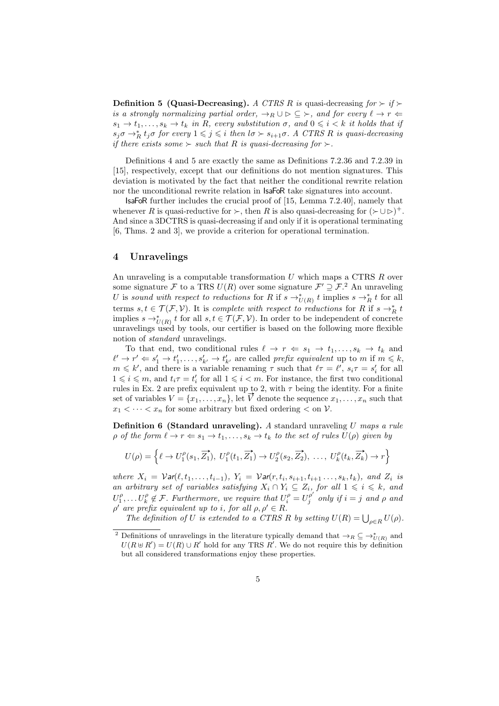**Definition 5 (Quasi-Decreasing).** A CTRS R is quasi-decreasing for  $\succ$  if  $\succ$ is a strongly normalizing partial order,  $\rightarrow_R \cup \rightarrow \subseteq \rightarrow$ , and for every  $\ell \rightarrow r \Leftarrow$  $s_1 \to t_1, \ldots, s_k \to t_k$  in R, every substitution  $\sigma$ , and  $0 \leq i \leq k$  it holds that if  $s_j\sigma \rightarrow_R^* t_j\sigma$  for every  $1 \leqslant j \leqslant i$  then  $l\sigma \succ s_{i+1}\sigma$ . A CTRS R is quasi-decreasing if there exists some  $\succ$  such that R is quasi-decreasing for  $\succ$ .

Definitions 4 and 5 are exactly the same as Definitions 7.2.36 and 7.2.39 in [15], respectively, except that our definitions do not mention signatures. This deviation is motivated by the fact that neither the conditional rewrite relation nor the unconditional rewrite relation in IsaFoR take signatures into account.

IsaFoR further includes the crucial proof of [15, Lemma 7.2.40], namely that whenever R is quasi-reductive for  $\succ$ , then R is also quasi-decreasing for  $(\succ \cup \succ)^+$ . And since a 3DCTRS is quasi-decreasing if and only if it is operational terminating [6, Thms. 2 and 3], we provide a criterion for operational termination.

## 4 Unravelings

An unraveling is a computable transformation  $U$  which maps a CTRS  $R$  over some signature F to a TRS  $U(R)$  over some signature  $\mathcal{F}' \supseteq \mathcal{F}^2$ . An unraveling U is sound with respect to reductions for R if  $s \to_{U(R)}^* t$  implies  $s \to_R^* t$  for all terms  $s, t \in \mathcal{T}(\mathcal{F}, \mathcal{V})$ . It is complete with respect to reductions for R if  $s \to_R^* t$ implies  $s \to_{U(R)}^* t$  for all  $s, t \in \mathcal{T}(\mathcal{F}, \mathcal{V})$ . In order to be independent of concrete unravelings used by tools, our certifier is based on the following more flexible notion of standard unravelings.

To that end, two conditional rules  $\ell \to r \Leftarrow s_1 \to t_1, \ldots, s_k \to t_k$  and  $\ell' \to r' \Leftarrow s'_1 \to t'_1, \ldots, s'_{k'} \to t'_{k'}$  are called prefix equivalent up to m if  $m \leq k$ ,  $m \leq k'$ , and there is a variable renaming  $\tau$  such that  $\ell \tau = \ell'$ ,  $s_i \tau = s'_i$  for all  $1\leqslant i\leqslant m,$  and  $t_i\tau=t'_i$  for all  $1\leqslant i< m.$  For instance, the first two conditional rules in Ex. 2 are prefix equivalent up to 2, with  $\tau$  being the identity. For a finite set of variables  $V = \{x_1, \ldots, x_n\}$ , let  $\vec{V}$  denote the sequence  $x_1, \ldots, x_n$  such that  $x_1 < \cdots < x_n$  for some arbitrary but fixed ordering  $\lt$  on  $\mathcal{V}$ .

Definition 6 (Standard unraveling). A standard unraveling  $U$  maps a rule  $\rho$  of the form  $\ell \to r \Leftarrow s_1 \to t_1, \ldots, s_k \to t_k$  to the set of rules  $U(\rho)$  given by

$$
U(\rho) = \left\{ \ell \to U_1^{\rho}(s_1, \overrightarrow{Z_1}), \ U_1^{\rho}(t_1, \overrightarrow{Z_1}) \to U_2^{\rho}(s_2, \overrightarrow{Z_2}), \ \dots, \ U_k^{\rho}(t_k, \overrightarrow{Z_k}) \to r \right\}
$$

where  $X_i = \mathcal{V}$ ar $(\ell, t_1, \ldots, t_{i-1}), Y_i = \mathcal{V}$ ar $(r, t_i, s_{i+1}, t_{i+1}, \ldots, s_k, t_k),$  and  $Z_i$  is an arbitrary set of variables satisfying  $X_i \cap Y_i \subseteq Z_i$ , for all  $1 \leq i \leq k$ , and  $U_1^{\rho}, \ldots U_k^{\rho} \notin \mathcal{F}$ . Furthermore, we require that  $U_i^{\rho} = U_j^{\rho'}$  $j_{j}^{\rho}$  only if  $i=j$  and  $\rho$  and  $\rho'$  are prefix equivalent up to i, for all  $\rho, \rho' \in R$ .

The definition of U is extended to a CTRS R by setting  $U(R) = \bigcup_{\rho \in R} U(\rho)$ .

<sup>&</sup>lt;sup>2</sup> Definitions of unravelings in the literature typically demand that  $\rightarrow_R \subseteq \rightarrow_{U(R)}^*$  and  $U(R \oplus R') = U(R) \cup R'$  hold for any TRS R'. We do not require this by definition but all considered transformations enjoy these properties.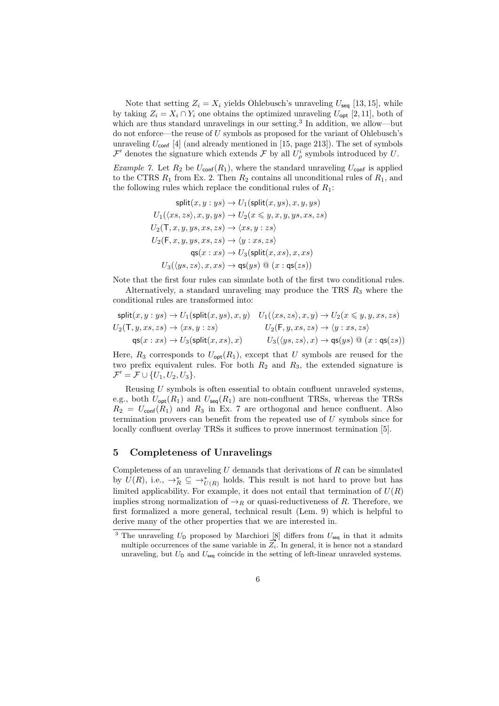Note that setting  $Z_i = X_i$  yields Ohlebusch's unraveling  $U_{\text{seq}}$  [13, 15], while by taking  $Z_i = X_i \cap Y_i$  one obtains the optimized unraveling  $U_{\text{opt}}$  [2, 11], both of which are thus standard unravelings in our setting.<sup>3</sup> In addition, we allow—but do not enforce—the reuse of  $U$  symbols as proposed for the variant of Ohlebusch's unraveling  $U_{\text{conf}}$  [4] (and already mentioned in [15, page 213]). The set of symbols  $\mathcal{F}'$  denotes the signature which extends  $\mathcal{F}$  by all  $U_{\rho}^{i}$  symbols introduced by U.

*Example 7.* Let  $R_2$  be  $U_{\text{conf}}(R_1)$ , where the standard unraveling  $U_{\text{conf}}$  is applied to the CTRS  $R_1$  from Ex. 2. Then  $R_2$  contains all unconditional rules of  $R_1$ , and the following rules which replace the conditional rules of  $R_1$ :

$$
\mathsf{split}(x, y: ys) \to U_1(\mathsf{split}(x, ys), x, y, ys)
$$
  
\n
$$
U_1(\langle xs, zs \rangle, x, y, ys) \to U_2(x \leq y, x, y, ys, xs, zs)
$$
  
\n
$$
U_2(\mathsf{T}, x, y, ys, xs, zs) \to \langle xs, y: zs \rangle
$$
  
\n
$$
U_2(\mathsf{F}, x, y, ys, xs, zs) \to \langle y: xs, zs \rangle
$$
  
\n
$$
\mathsf{qs}(x: xs) \to U_3(\mathsf{split}(x, xs), x, xs)
$$
  
\n
$$
U_3(\langle ys, zs \rangle, x, xs) \to \mathsf{qs}(ys) @ (x: \mathsf{qs}(zs))
$$

Note that the first four rules can simulate both of the first two conditional rules. Alternatively, a standard unraveling may produce the TRS  $R_3$  where the

conditional rules are transformed into:

$$
\begin{aligned}\n\text{split}(x, y:ys) &\rightarrow U_1(\text{split}(x, ys), x, y) &\quad U_1(\langle xs, zs \rangle, x, y) \rightarrow U_2(x \leqslant y, y, xs, zs) \\
U_2(\text{T}, y, xs, zs) &\rightarrow \langle xs, y: zs \rangle &\quad U_2(\text{F}, y, xs, zs) \rightarrow \langle y: xs, zs \rangle \\
\text{qs}(x: xs) &\rightarrow U_3(\text{split}(x, xs), x) &\quad U_3(\langle ys, zs \rangle, x) \rightarrow \text{qs}(ys) \text{ @ } (x: \text{qs}(zs))\n\end{aligned}
$$

Here,  $R_3$  corresponds to  $U_{\text{opt}}(R_1)$ , except that U symbols are reused for the two prefix equivalent rules. For both  $R_2$  and  $R_3$ , the extended signature is  $\mathcal{F}' = \mathcal{F} \cup \{U_1, U_2, U_3\}.$ 

Reusing  $U$  symbols is often essential to obtain confluent unraveled systems, e.g., both  $U_{\text{opt}}(R_1)$  and  $U_{\text{seq}}(R_1)$  are non-confluent TRSs, whereas the TRSs  $R_2 = U_{\text{conf}}(R_1)$  and  $R_3$  in Ex. 7 are orthogonal and hence confluent. Also termination provers can benefit from the repeated use of  $U$  symbols since for locally confluent overlay TRSs it suffices to prove innermost termination [5].

## 5 Completeness of Unravelings

Completeness of an unraveling  $U$  demands that derivations of  $R$  can be simulated by  $U(R)$ , i.e.,  $\rightarrow_R^* \subseteq \rightarrow_{U(R)}^*$  holds. This result is not hard to prove but has limited applicability. For example, it does not entail that termination of  $U(R)$ implies strong normalization of  $\rightarrow_R$  or quasi-reductiveness of R. Therefore, we first formalized a more general, technical result (Lem. 9) which is helpful to derive many of the other properties that we are interested in.

<sup>&</sup>lt;sup>3</sup> The unraveling  $U_D$  proposed by Marchiori [8] differs from  $U_{\text{seq}}$  in that it admits multiple occurrences of the same variable in  $\overline{Z_i}$ . In general, it is hence not a standard unraveling, but  $U_D$  and  $U_{\text{seq}}$  coincide in the setting of left-linear unraveled systems.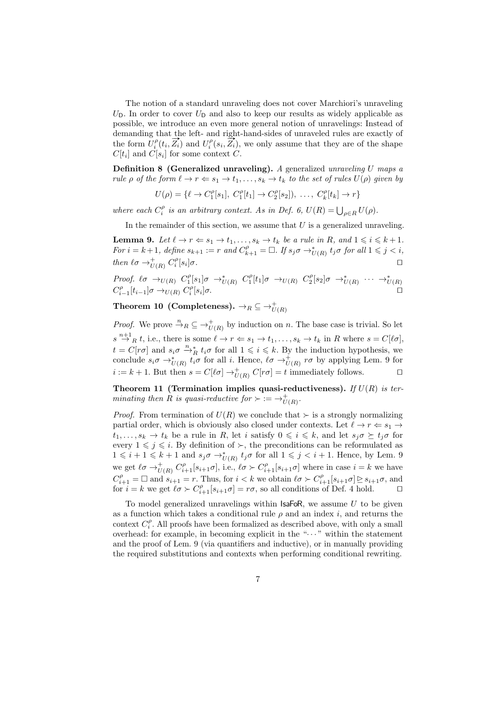The notion of a standard unraveling does not cover Marchiori's unraveling  $U_D$ . In order to cover  $U_D$  and also to keep our results as widely applicable as possible, we introduce an even more general notion of unravelings: Instead of demanding that the left- and right-hand-sides of unraveled rules are exactly of demanding that the left- and right-hand-sides of unraveled rules are exactly of the form  $U_i^{\rho}(t_i, \overline{Z_i})$  and  $U_i^{\rho}(s_i, \overline{Z_i})$ , we only assume that they are of the shape  $C[t_i]$  and  $C[s_i]$  for some context C.

**Definition 8 (Generalized unraveling).** A generalized unraveling  $U$  maps a rule  $\rho$  of the form  $\ell \to r \Leftrightarrow s_1 \to t_1, \ldots, s_k \to t_k$  to the set of rules  $U(\rho)$  given by

$$
U(\rho) = \{ \ell \to C_1^{\rho}[s_1], C_1^{\rho}[t_1] \to C_2^{\rho}[s_2]), \ldots, C_k^{\rho}[t_k] \to r \}
$$

where each  $C_i^{\rho}$  is an arbitrary context. As in Def. 6,  $U(R) = \bigcup_{\rho \in R} U(\rho)$ .

In the remainder of this section, we assume that  $U$  is a generalized unraveling.

**Lemma 9.** Let  $\ell \to r \Leftarrow s_1 \to t_1, \ldots, s_k \to t_k$  be a rule in R, and  $1 \leq i \leq k+1$ . For  $i = k + 1$ , define  $s_{k+1} := r$  and  $C_{k+1}^{\rho} = \Box$ . If  $s_j \sigma \rightarrow_{U(R)}^* t_j \sigma$  for all  $1 \leq j < i$ , then  $\ell \sigma \rightarrow^+_{U(R)} C_i^{\rho} [s_i]$  $\sigma$ .

*Proof.* 
$$
\ell \sigma \rightarrow_{U(R)} C_1^{\rho}[s_1] \sigma \rightarrow_{U(R)} C_1^{\rho}[t_1] \sigma \rightarrow_{U(R)} C_2^{\rho}[s_2] \sigma \rightarrow_{U(R)}^* \cdots \rightarrow_{U(R)}^* C_{i-1}^{\rho}[t_{i-1}] \sigma \rightarrow_{U(R)} C_i^{\rho}[s_i] \sigma
$$
.

 $\text{Theorem 10 (Completeness).} \rightarrow_R \, \subseteq \, \rightarrow_{U(R)}^+$ 

*Proof.* We prove  $\stackrel{n}{\to}_R \subseteq \to^+_{U(R)}$  by induction on n. The base case is trivial. So let  $s \stackrel{n+1}{\rightarrow} R t$ , i.e., there is some  $\ell \rightarrow r \Leftarrow s_1 \rightarrow t_1, \ldots, s_k \rightarrow t_k$  in R where  $s = C[\ell \sigma],$  $t = C[r\sigma]$  and  $s_i\sigma \stackrel{n}{\rightarrow_R} t_i\sigma$  for all  $1 \leq i \leq k$ . By the induction hypothesis, we conclude  $s_i\sigma \to^*_{U(R)} t_i\sigma$  for all i. Hence,  $\ell\sigma \to^+_{U(R)} r\sigma$  by applying Lem. 9 for  $i := k + 1$ . But then  $s = C[\ell \sigma] \rightarrow_{U(R)}^{\dagger} C[r\sigma] = t$  immediately follows.

Theorem 11 (Termination implies quasi-reductiveness). If  $U(R)$  is terminating then R is quasi-reductive for  $\succ := \rightarrow_{U(R)}^+$ .

*Proof.* From termination of  $U(R)$  we conclude that  $\succ$  is a strongly normalizing partial order, which is obviously also closed under contexts. Let  $\ell \rightarrow r \Leftarrow s_1 \rightarrow$  $t_1, \ldots, s_k \to t_k$  be a rule in R, let i satisfy  $0 \leq i \leq k$ , and let  $s_j \sigma \succeq t_j \sigma$  for every  $1 \leq j \leq i$ . By definition of  $\succ$ , the preconditions can be reformulated as  $1 \leq i+1 \leq k+1$  and  $s_j \sigma \rightarrow_{U(R)}^* t_j \sigma$  for all  $1 \leq j \leq i+1$ . Hence, by Lem. 9 we get  $\ell \sigma \rightarrow_{U(R)}^+ C_{i+1}^{\rho} [s_{i+1} \sigma],$  i.e.,  $\ell \sigma \succ C_{i+1}^{\rho} [s_{i+1} \sigma]$  where in case  $i = k$  we have  $C_{i+1}^{\rho} = \Box$  and  $s_{i+1} = r$ . Thus, for  $i < k$  we obtain  $\ell \sigma \succ C_{i+1}^{\rho}[s_{i+1}\sigma] \trianglerighteq s_{i+1}\sigma$ , and for  $i = k$  we get  $\ell \sigma \succ C_{i+1}^{\rho}[s_{i+1}\sigma] = r\sigma$ , so all conditions of Def. 4 hold.  $\square$ 

To model generalized unravelings within  $IsaFoR$ , we assume  $U$  to be given as a function which takes a conditional rule  $\rho$  and an index i, and returns the context  $C_i^{\rho}$ . All proofs have been formalized as described above, with only a small overhead: for example, in becoming explicit in the " $\cdots$ " within the statement and the proof of Lem. 9 (via quantifiers and inductive), or in manually providing the required substitutions and contexts when performing conditional rewriting.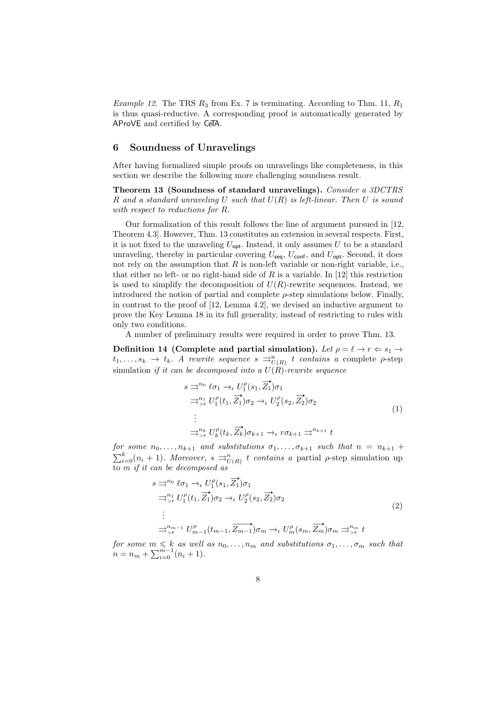*Example 12.* The TRS  $R_3$  from Ex. 7 is terminating. According to Thm. 11,  $R_1$ is thus quasi-reductive. A corresponding proof is automatically generated by AProVE and certified by CeTA.

## 6 Soundness of Unravelings

After having formalized simple proofs on unravelings like completeness, in this section we describe the following more challenging soundness result.

Theorem 13 (Soundness of standard unravelings). Consider a 3DCTRS R and a standard unraveling U such that  $U(R)$  is left-linear. Then U is sound with respect to reductions for R.

Our formalization of this result follows the line of argument pursued in [12, Theorem 4.3]. However, Thm. 13 constitutes an extension in several respects. First, it is not fixed to the unraveling  $U_{\text{opt}}$ . Instead, it only assumes U to be a standard unraveling, thereby in particular covering  $U_{\text{seq}}$ ,  $U_{\text{conf}}$ , and  $U_{\text{opt}}$ . Second, it does not rely on the assumption that  $R$  is non-left variable or non-right variable, i.e., that either no left- or no right-hand side of  $R$  is a variable. In [12] this restriction is used to simplify the decomposition of  $U(R)$ -rewrite sequences. Instead, we introduced the notion of partial and complete  $\rho$ -step simulations below. Finally, in contrast to the proof of [12, Lemma 4.2], we devised an inductive argument to prove the Key Lemma 18 in its full generality, instead of restricting to rules with only two conditions.

A number of preliminary results were required in order to prove Thm. 13.

Definition 14 (Complete and partial simulation). Let  $\rho = \ell \rightarrow r \Leftarrow s_1 \rightarrow$  $t_1, \ldots, s_k \rightarrow t_k$ . A rewrite sequence  $s \rightrightarrows_{U(R)}^n t$  contains a complete  $\rho$ -step simulation if it can be decomposed into a  $U(R)$ -rewrite sequence

$$
s \rightrightarrows_{\geq \epsilon}^{n_0} \ell \sigma_1 \to_{\epsilon} U_1^{\rho}(s_1, \overrightarrow{Z_1}) \sigma_1
$$
  
\n
$$
\rightrightarrows_{\geq \epsilon}^{n_1} U_1^{\rho}(t_1, \overrightarrow{Z_1}) \sigma_2 \to_{\epsilon} U_2^{\rho}(s_2, \overrightarrow{Z_2}) \sigma_2
$$
  
\n
$$
\rightrightarrows_{\geq \epsilon}^{n_k} U_k^{\rho}(t_k, \overrightarrow{Z_k}) \sigma_{k+1} \to_{\epsilon} r \sigma_{k+1} \rightrightarrows^{n_{k+1}} t
$$
  
\n(1)

for some  $n_0, \ldots, n_{k+1}$  and substitutions  $\sigma_1, \ldots, \sigma_{k+1}$  such that  $n = n_{k+1} +$  $\sum_{i=0}^{k} (n_i + 1)$ . Moreover,  $s \rightrightarrows_{U(R)}^n t$  contains a partial  $\rho$ -step simulation up to m if it can be decomposed as

$$
s \rightrightarrows_{\geq \epsilon}^{n_0} \ell \sigma_1 \to_{\epsilon} U_1^{\rho}(s_1, \overrightarrow{Z_1}) \sigma_1
$$
  
\n
$$
\rightrightarrows_{\geq \epsilon}^{n_1} U_1^{\rho}(t_1, \overrightarrow{Z_1}) \sigma_2 \to_{\epsilon} U_2^{\rho}(s_2, \overrightarrow{Z_2}) \sigma_2
$$
  
\n
$$
\rightrightarrows_{\geq \epsilon}^{n_{m-1}} U_{m-1}^{\rho}(t_{m-1}, \overrightarrow{Z_{m-1}}) \sigma_m \to_{\epsilon} U_m^{\rho}(s_m, \overrightarrow{Z_m}) \sigma_m \rightrightarrows_{\geq \epsilon}^{n_m} t
$$
  
\n(2)

for some  $m \leq k$  as well as  $n_0, \ldots, n_m$  and substitutions  $\sigma_1, \ldots, \sigma_m$  such that  $n = n_m + \sum_{i=0}^{m-1} (n_i + 1).$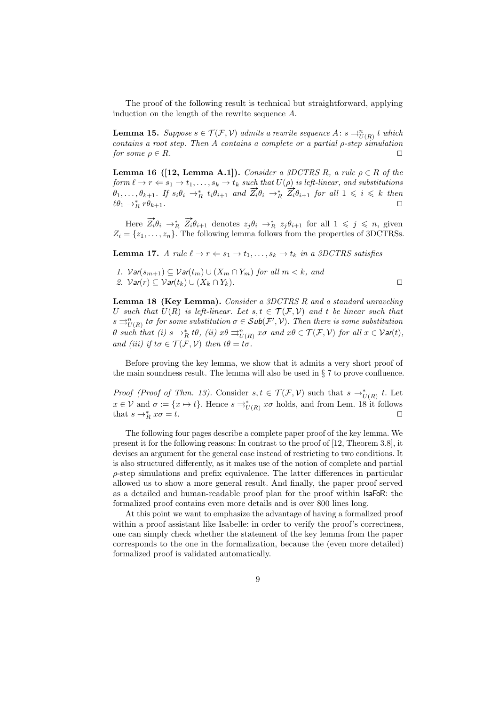The proof of the following result is technical but straightforward, applying induction on the length of the rewrite sequence A.

**Lemma 15.** Suppose  $s \in \mathcal{T}(\mathcal{F}, \mathcal{V})$  admits a rewrite sequence  $A: s \rightrightarrows_{U(R)}^n t$  which contains a root step. Then A contains a complete or a partial  $\rho$ -step simulation for some  $\rho \in R$ .

**Lemma 16 ([12, Lemma A.1]).** Consider a 3DCTRS R, a rule  $\rho \in R$  of the  $\mathit{form}\ \ell \rightarrow r \Leftarrow s_1 \rightarrow t_1, \ldots, s_k \rightarrow t_k \ \mathit{such}\ \mathit{that}\ U(\rho) \ \mathit{is}\ \mathit{left-linear},\ \mathit{and}\ \mathit{substitutions}$  $\theta_1, \ldots, \theta_{k+1}$ . If  $s_i \theta_i \rightarrow^*_{R} t_i \theta_{i+1}$  and  $\overrightarrow{Z_i} \theta_i \rightarrow^*_{R} \overrightarrow{Z_i} \theta_{i+1}$  for all  $1 \leq i \leq k$  then  $\ell\theta_1 \to_R^* r\theta_{k+1}$ .

Here  $\overrightarrow{Z_i} \theta_i \rightarrow_R^* \overrightarrow{Z_i} \theta_{i+1}$  denotes  $z_j \theta_i \rightarrow_R^* z_j \theta_{i+1}$  for all  $1 \leq j \leq n$ , given  $Z_i = \{z_1, \ldots, z_n\}.$  The following lemma follows from the properties of 3DCTRSs.

**Lemma 17.** A rule  $l \to r \Leftarrow s_1 \to t_1, \ldots, s_k \to t_k$  in a 3DCTRS satisfies

1.  $Var(s_{m+1}) \subseteq Var(t_m) \cup (X_m \cap Y_m)$  for all  $m < k$ , and 2.  $Var(r) \subset Var(t_k) \cup (X_k \cap Y_k)$ .

Lemma 18 (Key Lemma). Consider a 3DCTRS R and a standard unraveling U such that  $U(R)$  is left-linear. Let  $s, t \in \mathcal{T}(\mathcal{F}, \mathcal{V})$  and t be linear such that  $s \rightrightarrows_{U(R)}^n t$  for some substitution  $\sigma \in Sub(\mathcal{F}', \mathcal{V})$ . Then there is some substitution  $\theta$  such that (i)  $s \to_R^* t\theta$ , (ii)  $x\theta \rightrightarrows_{U(R)}^n x\sigma$  and  $x\theta \in \mathcal{T}(\mathcal{F}, V)$  for all  $x \in \mathcal{V}$ ar(t), and (iii) if  $t\sigma \in \mathcal{T}(\mathcal{F}, \mathcal{V})$  then  $t\theta = t\sigma$ .

Before proving the key lemma, we show that it admits a very short proof of the main soundness result. The lemma will also be used in  $\S 7$  to prove confluence.

*Proof (Proof of Thm. 13).* Consider  $s, t \in \mathcal{T}(\mathcal{F}, \mathcal{V})$  such that  $s \to_{U(R)}^* t$ . Let  $x \in V$  and  $\sigma := \{x \mapsto t\}$ . Hence  $s \rightrightarrows^*_{U(R)} x\sigma$  holds, and from Lem. 18 it follows that  $s \to_R^* x \sigma = t$ .

The following four pages describe a complete paper proof of the key lemma. We present it for the following reasons: In contrast to the proof of [12, Theorem 3.8], it devises an argument for the general case instead of restricting to two conditions. It is also structured differently, as it makes use of the notion of complete and partial  $\rho$ -step simulations and prefix equivalence. The latter differences in particular allowed us to show a more general result. And finally, the paper proof served as a detailed and human-readable proof plan for the proof within IsaFoR: the formalized proof contains even more details and is over 800 lines long.

At this point we want to emphasize the advantage of having a formalized proof within a proof assistant like Isabelle: in order to verify the proof's correctness, one can simply check whether the statement of the key lemma from the paper corresponds to the one in the formalization, because the (even more detailed) formalized proof is validated automatically.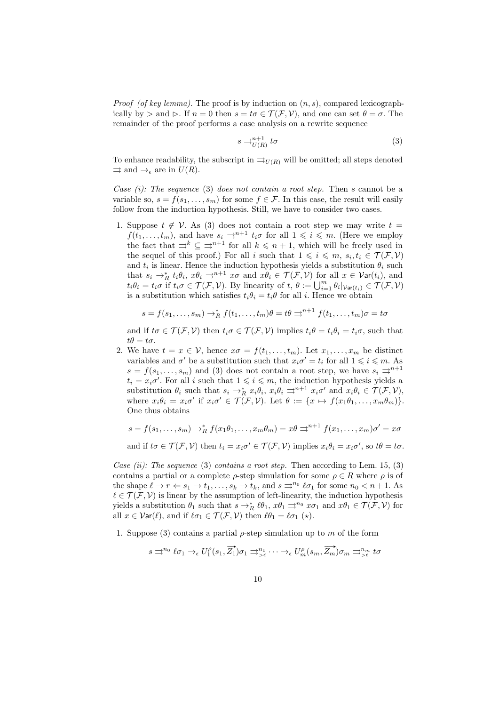*Proof (of key lemma).* The proof is by induction on  $(n, s)$ , compared lexicographically by > and  $\triangleright$ . If  $n = 0$  then  $s = t\sigma \in \mathcal{T}(\mathcal{F}, \mathcal{V})$ , and one can set  $\theta = \sigma$ . The remainder of the proof performs a case analysis on a rewrite sequence

$$
s \rightrightarrows_{U(R)}^{n+1} t\sigma \tag{3}
$$

To enhance readability, the subscript in  $\exists_{U(R)}$  will be omitted; all steps denoted  $\Rightarrow$  and  $\rightarrow_{\epsilon}$  are in  $U(R)$ .

Case (i): The sequence (3) does not contain a root step. Then s cannot be a variable so,  $s = f(s_1, \ldots, s_m)$  for some  $f \in \mathcal{F}$ . In this case, the result will easily follow from the induction hypothesis. Still, we have to consider two cases.

1. Suppose  $t \notin V$ . As (3) does not contain a root step we may write  $t =$  $f(t_1, \ldots, t_m)$ , and have  $s_i \rightrightarrows^{n+1} t_i \sigma$  for all  $1 \leq i \leq m$ . (Here we employ the fact that  $\exists^k \subseteq \exists^{n+1}$  for all  $k \leq n+1$ , which will be freely used in the sequel of this proof.) For all i such that  $1 \leq i \leq m$ ,  $s_i, t_i \in \mathcal{T}(\mathcal{F}, \mathcal{V})$ and  $t_i$  is linear. Hence the induction hypothesis yields a substitution  $\theta_i$  such that  $s_i \to_R^* t_i \theta_i$ ,  $x\theta_i \rightrightarrows^{n+1} x\sigma$  and  $x\theta_i \in \mathcal{T}(\mathcal{F}, \mathcal{V})$  for all  $x \in \mathcal{V}$ ar $(t_i)$ , and  $t_i\theta_i = t_i\sigma$  if  $t_i\sigma \in \mathcal{T}(\mathcal{F}, \mathcal{V})$ . By linearity of  $t, \theta := \bigcup_{i=1}^m \theta_i |_{\mathcal{Var}(t_i)} \in \mathcal{T}(\mathcal{F}, \mathcal{V})$ is a substitution which satisfies  $t_i\theta_i = t_i\theta$  for all i. Hence we obtain

$$
s = f(s_1, \ldots, s_m) \rightarrow_R^* f(t_1, \ldots, t_m) \theta = t\theta \rightrightarrows^{n+1} f(t_1, \ldots, t_m) \sigma = t\sigma
$$

and if  $t\sigma \in \mathcal{T}(\mathcal{F}, \mathcal{V})$  then  $t_i\sigma \in \mathcal{T}(\mathcal{F}, \mathcal{V})$  implies  $t_i\theta = t_i\theta_i = t_i\sigma$ , such that  $t\theta = t\sigma$ .

2. We have  $t = x \in V$ , hence  $x\sigma = f(t_1, \ldots, t_m)$ . Let  $x_1, \ldots, x_m$  be distinct variables and  $\sigma'$  be a substitution such that  $x_i \sigma' = t_i$  for all  $1 \leq i \leq m$ . As  $s = f(s_1, \ldots, s_m)$  and (3) does not contain a root step, we have  $s_i \rightrightarrows^{n+1}$  $t_i = x_i \sigma'$ . For all i such that  $1 \leq i \leq m$ , the induction hypothesis yields a substitution  $\theta_i$  such that  $s_i \to_R^* x_i \theta_i$ ,  $x_i \theta_i \rightrightarrows^{n+1} x_i \sigma'$  and  $x_i \theta_i \in \mathcal{T}(\mathcal{F}, \mathcal{V})$ , where  $x_i \theta_i = x_i \sigma'$  if  $x_i \sigma' \in \mathcal{T}(\mathcal{F}, \mathcal{V})$ . Let  $\theta := \{x \mapsto f(x_1 \theta_1, \dots, x_m \theta_m)\}.$ One thus obtains

$$
s = f(s_1, \ldots, s_m) \rightarrow_R^* f(x_1 \theta_1, \ldots, x_m \theta_m) = x \theta \Rightarrow^{n+1} f(x_1, \ldots, x_m) \sigma' = x \sigma
$$

and if 
$$
t\sigma \in \mathcal{T}(\mathcal{F}, \mathcal{V})
$$
 then  $t_i = x_i \sigma' \in \mathcal{T}(\mathcal{F}, \mathcal{V})$  implies  $x_i \theta_i = x_i \sigma'$ , so  $t\theta = t\sigma$ .

Case (ii): The sequence (3) contains a root step. Then according to Lem. 15, (3) contains a partial or a complete  $\rho$ -step simulation for some  $\rho \in R$  where  $\rho$  is of the shape  $\ell \to r \Leftarrow s_1 \to t_1, \ldots, s_k \to t_k$ , and  $s \rightrightarrows^{n_0} \ell \sigma_1$  for some  $n_0 < n + 1$ . As  $\ell \in \mathcal{T}(\mathcal{F}, \mathcal{V})$  is linear by the assumption of left-linearity, the induction hypothesis yields a substitution  $\theta_1$  such that  $s \to_R^* \ell \theta_1$ ,  $x\theta_1 \rightrightarrows^{n_0} x\sigma_1$  and  $x\theta_1 \in \mathcal{T}(\mathcal{F}, \mathcal{V})$  for all  $x \in \mathcal{V}ar(\ell)$ , and if  $\ell \sigma_1 \in \mathcal{T}(\mathcal{F}, \mathcal{V})$  then  $\ell \theta_1 = \ell \sigma_1 (\star)$ .

1. Suppose (3) contains a partial  $\rho$ -step simulation up to m of the form

$$
s \rightrightarrows^{n_0} \ell \sigma_1 \to_{\epsilon} U_1^{\rho}(s_1, \overrightarrow{Z_1}) \sigma_1 \rightrightarrows^{n_1}_{> \epsilon} \cdots \to_{\epsilon} U_m^{\rho}(s_m, \overrightarrow{Z_m}) \sigma_m \rightrightarrows^{n_m}_{> \epsilon} t \sigma
$$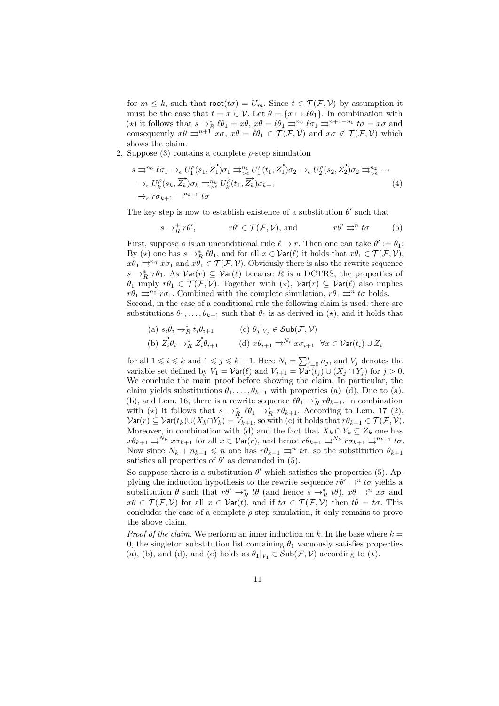for  $m \leq k$ , such that  $\text{root}(t\sigma) = U_m$ . Since  $t \in \mathcal{T}(\mathcal{F}, \mathcal{V})$  by assumption it must be the case that  $t = x \in \mathcal{V}$ . Let  $\theta = \{x \mapsto \ell\theta_1\}$ . In combination with (\*) it follows that  $s \to_R^* \ell \theta_1 = x\theta$ ,  $x\theta = \ell \theta_1 \implies \theta_1 \to^{n_0} \ell \sigma_1 \implies^{n+1-n_0} t\sigma = x\sigma$  and consequently  $x\theta \rightrightarrows^{n+1} x\sigma$ ,  $x\theta = \ell\theta_1 \in \mathcal{T}(\mathcal{F}, \mathcal{V})$  and  $x\sigma \notin \mathcal{T}(\mathcal{F}, \mathcal{V})$  which shows the claim.

2. Suppose (3) contains a complete  $\rho$ -step simulation

$$
s \rightrightarrows^{n_0} \ell \sigma_1 \to_{\epsilon} U_1^{\rho}(s_1, \overrightarrow{Z_1}) \sigma_1 \rightrightarrows^{n_1}_{> \epsilon} U_1^{\rho}(t_1, \overrightarrow{Z_1}) \sigma_2 \to_{\epsilon} U_2^{\rho}(s_2, \overrightarrow{Z_2}) \sigma_2 \rightrightarrows^{n_2}_{> \epsilon} \cdots
$$
  
\n
$$
\to_{\epsilon} U_k^{\rho}(s_k, \overrightarrow{Z_k}) \sigma_k \rightrightarrows^{n_k}_{> \epsilon} U_k^{\rho}(t_k, \overrightarrow{Z_k}) \sigma_{k+1}
$$
  
\n
$$
\to_{\epsilon} r \sigma_{k+1} \rightrightarrows^{n_{k+1}} t \sigma
$$
\n(4)

The key step is now to establish existence of a substitution  $\theta'$  such that

$$
s \to_R^+ r \theta', \qquad r \theta' \in \mathcal{T}(\mathcal{F}, \mathcal{V}), \text{ and } r \theta' \rightrightarrows^n t \sigma \qquad (5)
$$

First, suppose  $\rho$  is an unconditional rule  $\ell \to r$ . Then one can take  $\theta' := \theta_1$ : By  $(\star)$  one has  $s \to_R^* \ell\theta_1$ , and for all  $x \in \mathcal{V}$ ar $(\ell)$  it holds that  $x\theta_1 \in \mathcal{T}(\mathcal{F}, \mathcal{V})$ ,  $x\theta_1 \rightrightarrows^{n_0} x\sigma_1$  and  $x\theta_1 \in \mathcal{T}(\mathcal{F}, \mathcal{V})$ . Obviously there is also the rewrite sequence  $s \to_R^* r \theta_1$ . As  $Var(r) \subseteq Var(\ell)$  because R is a DCTRS, the properties of  $\theta_1$  imply  $r\theta_1 \in \mathcal{T}(\mathcal{F}, \mathcal{V})$ . Together with  $(\star)$ ,  $\mathcal{V}\text{ar}(r) \subseteq \mathcal{V}\text{ar}(\ell)$  also implies  $r\theta_1 \rightrightarrows^{n_0} r\sigma_1$ . Combined with the complete simulation,  $r\theta_1 \rightrightarrows^n t\sigma$  holds. Second, in the case of a conditional rule the following claim is used: there are substitutions  $\theta_1, \ldots, \theta_{k+1}$  such that  $\theta_1$  is as derived in  $(\star)$ , and it holds that

(a) 
$$
s_i \theta_i \to_R^* t_i \theta_{i+1}
$$
  
\n(b)  $\overrightarrow{Z_i} \theta_i \to_R^* \overrightarrow{Z_i} \theta_{i+1}$   
\n(c)  $\theta_j |_{V_j} \in \text{Sub}(\mathcal{F}, \mathcal{V})$   
\n(d)  $x \theta_{i+1} \rightrightarrows^{N_i} x \sigma_{i+1} \quad \forall x \in \text{Var}(t_i) \cup Z_i$ 

for all  $1 \leq i \leq k$  and  $1 \leq j \leq k+1$ . Here  $N_i = \sum_{j=0}^{i} n_j$ , and  $V_j$  denotes the variable set defined by  $V_1 = \mathcal{V}\text{ar}(\ell)$  and  $V_{j+1} = \mathcal{V}\text{ar}(t_j) \cup (X_j \cap Y_j)$  for  $j > 0$ . We conclude the main proof before showing the claim. In particular, the claim yields substitutions  $\theta_1, \ldots, \theta_{k+1}$  with properties (a)–(d). Due to (a), (b), and Lem. 16, there is a rewrite sequence  $\ell\theta_1 \rightarrow_R^* r \theta_{k+1}$ . In combination with ( $\star$ ) it follows that  $s \to_R^* \ell \theta_1 \to_R^* r \theta_{k+1}$ . According to Lem. 17 (2),  $Var(r) \subseteq Var(t_k) \cup (X_k \cap Y_k) = V_{k+1}$ , so with (c) it holds that  $r\theta_{k+1} \in \mathcal{T}(\mathcal{F}, \mathcal{V})$ . Moreover, in combination with (d) and the fact that  $X_k \cap Y_k \subseteq Z_k$  one has  $x\theta_{k+1} \rightrightarrows^{N_k} x\sigma_{k+1}$  for all  $x \in \mathcal{V}\text{ar}(r)$ , and hence  $r\theta_{k+1} \rightrightarrows^{N_k} r\sigma_{k+1} \rightrightarrows^{n_{k+1}} t\sigma$ . Now since  $N_k + n_{k+1} \leq n$  one has  $r\theta_{k+1} \rightrightarrows^n t\sigma$ , so the substitution  $\theta_{k+1}$ satisfies all properties of  $\theta'$  as demanded in (5).

So suppose there is a substitution  $\theta'$  which satisfies the properties (5). Applying the induction hypothesis to the rewrite sequence  $r\theta' \rightrightarrows^n t\sigma$  yields a substitution  $\theta$  such that  $r\theta' \to_R^* t\theta$  (and hence  $s \to_R^* t\theta$ ),  $x\theta \rightrightarrows^n x\sigma$  and  $x\theta \in \mathcal{T}(\mathcal{F}, \mathcal{V})$  for all  $x \in \mathcal{V}$ ar $(t)$ , and if  $t\sigma \in \mathcal{T}(\mathcal{F}, \mathcal{V})$  then  $t\theta = t\sigma$ . This concludes the case of a complete  $\rho$ -step simulation, it only remains to prove the above claim.

*Proof of the claim.* We perform an inner induction on k. In the base where  $k =$ 0, the singleton substitution list containing  $\theta_1$  vacuously satisfies properties (a), (b), and (d), and (c) holds as  $\theta_1|_{V_1} \in \mathcal{S}$ ub $(\mathcal{F}, \mathcal{V})$  according to  $(\star)$ .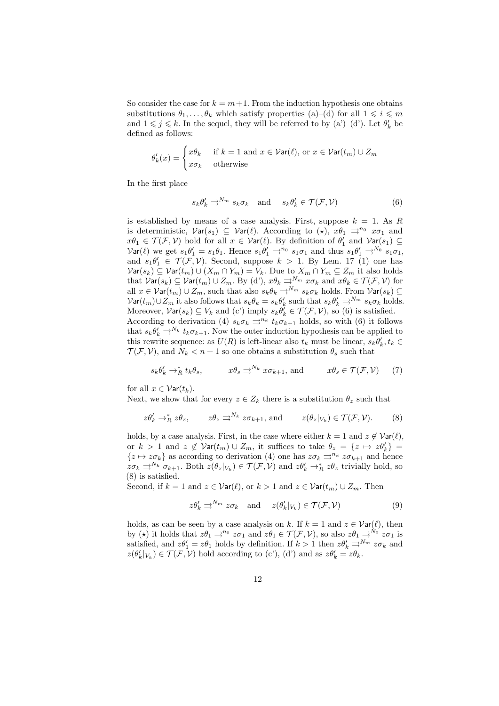So consider the case for  $k = m + 1$ . From the induction hypothesis one obtains substitutions  $\theta_1, \ldots, \theta_k$  which satisfy properties (a)–(d) for all  $1 \leq i \leq m$ and  $1 \leq j \leq k$ . In the sequel, they will be referred to by (a')–(d'). Let  $\theta'_{k}$  be defined as follows:

$$
\theta'_k(x) = \begin{cases} x\theta_k & \text{if } k = 1 \text{ and } x \in \text{Var}(\ell), \text{ or } x \in \text{Var}(t_m) \cup Z_m \\ x\sigma_k & \text{otherwise} \end{cases}
$$

In the first place

$$
s_k \theta'_k \rightrightarrows^{N_m} s_k \sigma_k \quad \text{and} \quad s_k \theta'_k \in \mathcal{T}(\mathcal{F}, \mathcal{V})
$$
 (6)

is established by means of a case analysis. First, suppose  $k = 1$ . As R is deterministic,  $Var(s_1) \subseteq Var(\ell)$ . According to  $(\star)$ ,  $x\theta_1 \rightrightarrows^{n_0} x\sigma_1$  and  $x\theta_1 \in \mathcal{T}(\mathcal{F}, \mathcal{V})$  hold for all  $x \in \mathcal{V}ar(\ell)$ . By definition of  $\theta'_1$  and  $\mathcal{V}ar(s_1) \subseteq$  $\text{Var}(\ell)$  we get  $s_1\theta'_1 = s_1\theta_1$ . Hence  $s_1\theta'_1 \rightrightarrows^{n_0} s_1\sigma_1$  and thus  $s_1\theta'_1 \rightrightarrows^{N_0} s_1\sigma_1$ , and  $s_1\theta'_1 \in \mathcal{T}(\mathcal{F}, \mathcal{V})$ . Second, suppose  $k > 1$ . By Lem. 17 (1) one has  $Var(s_k) \subseteq Var(t_m) \cup (X_m \cap Y_m) = V_k$ . Due to  $X_m \cap Y_m \subseteq Z_m$  it also holds that  $Var(s_k) \subseteq Var(t_m) \cup Z_m$ . By (d'),  $x\theta_k \rightrightarrows^{N_m} x\sigma_k$  and  $x\theta_k \in \mathcal{T}(\mathcal{F}, \mathcal{V})$  for all  $x \in \mathcal{V}ar(t_m) \cup Z_m$ , such that also  $s_k \theta_k \rightrightarrows^{N_m} s_k \sigma_k$  holds. From  $\mathcal{V}ar(s_k) \subseteq$  $\mathcal{V}$ ar $(t_m) \cup Z_m$  it also follows that  $s_k \theta_k = s_k \theta'_k$  such that  $s_k \theta'_k \rightrightarrows^{N_m} s_k \sigma_k$  holds. Moreover,  $Var(s_k) \subseteq V_k$  and (c') imply  $s_k \theta'_k \in \mathcal{T}(\mathcal{F}, V)$ , so (6) is satisfied. According to derivation (4)  $s_k \sigma_k \rightrightarrows^{n_k} t_k \sigma_{k+1}$  holds, so with (6) it follows

that  $s_k \theta'_k \rightrightarrows^{N_k} t_k \sigma_{k+1}$ . Now the outer induction hypothesis can be applied to this rewrite sequence: as  $U(R)$  is left-linear also  $t_k$  must be linear,  $s_k\theta'_k, t_k \in$  $\mathcal{T}(\mathcal{F}, \mathcal{V})$ , and  $N_k < n+1$  so one obtains a substitution  $\theta_s$  such that

$$
s_k \theta'_k \to_R^* t_k \theta_s
$$
,  $x \theta_s \rightrightarrows^{N_k} x \sigma_{k+1}$ , and  $x \theta_s \in \mathcal{T}(\mathcal{F}, \mathcal{V})$  (7)

for all  $x \in \mathcal{V}ar(t_k)$ .

Next, we show that for every  $z \in Z_k$  there is a substitution  $\theta_z$  such that

$$
z\theta'_k \to_R^* z\theta_z
$$
,  $z\theta_z \rightrightarrows^{N_k} z\sigma_{k+1}$ , and  $z(\theta_z|_{V_k}) \in \mathcal{T}(\mathcal{F}, \mathcal{V})$ . (8)

holds, by a case analysis. First, in the case where either  $k = 1$  and  $z \notin \mathcal{V}ar(\ell)$ , or  $k > 1$  and  $z \notin \mathcal{V}ar(t_m) \cup Z_m$ , it suffices to take  $\theta_z = \{z \mapsto z\theta'_k\}$  $\{z \mapsto z\sigma_k\}$  as according to derivation (4) one has  $z\sigma_k \rightrightarrows^{n_k} z\sigma_{k+1}$  and hence  $z\sigma_k \rightrightarrows^{N_k} \sigma_{k+1}$ . Both  $z(\theta_z|_{V_k}) \in \mathcal{T}(\mathcal{F}, \mathcal{V})$  and  $z\theta'_k \to_R^* z\theta_z$  trivially hold, so (8) is satisfied.

Second, if  $k = 1$  and  $z \in \text{Var}(\ell)$ , or  $k > 1$  and  $z \in \text{Var}(t_m) \cup Z_m$ . Then

$$
z\theta'_k \rightrightarrows^{N_m} z\sigma_k \quad \text{and} \quad z(\theta'_k|_{V_k}) \in \mathcal{T}(\mathcal{F}, \mathcal{V})
$$
 (9)

holds, as can be seen by a case analysis on k. If  $k = 1$  and  $z \in \mathcal{V}ar(\ell)$ , then by  $(\star)$  it holds that  $z\theta_1 \rightrightarrows^{n_0} z\sigma_1$  and  $z\theta_1 \in \mathcal{T}(\mathcal{F}, \mathcal{V})$ , so also  $z\theta_1 \rightrightarrows^{N_0} z\sigma_1$  is satisfied, and  $z\theta_1' = z\theta_1$  holds by definition. If  $k > 1$  then  $z\theta_k' \rightrightarrows^{N_m} z\sigma_k$  and  $z(\theta'_k|_{V_k}) \in \mathcal{T}(\mathcal{F}, \mathcal{V})$  hold according to (c'), (d') and as  $z\theta'_k = z\theta_k$ .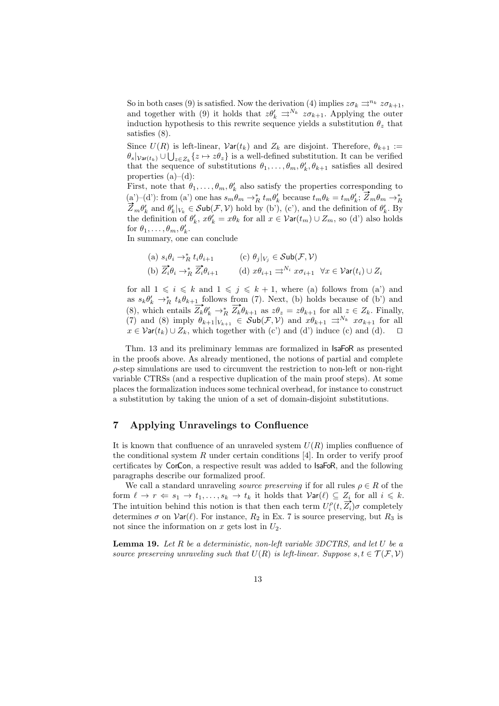So in both cases (9) is satisfied. Now the derivation (4) implies  $z\sigma_k \rightrightarrows^{n_k} z\sigma_{k+1}$ , and together with (9) it holds that  $z\theta'_k \rightrightarrows^{N_k} z\sigma_{k+1}$ . Applying the outer induction hypothesis to this rewrite sequence yields a substitution  $\theta_z$  that satisfies (8).

Since  $U(R)$  is left-linear,  $Var(t_k)$  and  $Z_k$  are disjoint. Therefore,  $\theta_{k+1}$  :=  $\theta_s|_{\mathcal{V}\text{ar}(t_k)} \cup \bigcup_{z \in Z_k} \{z \mapsto z\theta_z\}$  is a well-defined substitution. It can be verified that the sequence of substitutions  $\theta_1, \ldots, \theta_m, \theta'_k, \theta_{k+1}$  satisfies all desired properties  $(a)–(d)$ :

First, note that  $\theta_1, \ldots, \theta_m, \theta'_k$  also satisfy the properties corresponding to First, note that  $v_1, \ldots, v_m, v_k$  also satisfy the properties corresponding to  $(a')$  (d'): from (a') one has  $s_m \theta_m \to^*_{R} t_m \theta'_k$  because  $t_m \theta_k = t_m \theta'_k$ ;  $\overline{Z}_m \theta_m \to^*_{R} t_m \theta'_k$ (a )-(d ). Hold (a ) one has  $s_m v_m \rightarrow_R \iota_m v_k$  because  $\iota_m v_k = \iota_m v_k$ ,  $\Delta_m v_m \rightarrow_R \overline{Z}_m \theta'_k$  and  $\theta'_k|_{V_k} \in Sub(\mathcal{F}, \mathcal{V})$  hold by (b'), (c'), and the definition of  $\theta'_k$ . By the definition of  $\theta'_k$ ,  $x\theta'_k = x\theta_k$  for all  $x \in \mathcal{V}$ ar $(t_m) \cup Z_m$ , so (d') also holds for  $\theta_1, \ldots, \theta_m, \theta'_k$ .

In summary, one can conclude

(a) 
$$
s_i \theta_i \to_R^* t_i \theta_{i+1}
$$
  
\n(b)  $\overline{Z}_i \theta_i \to_R^* \overline{Z}_i \theta_{i+1}$   
\n(c)  $\theta_j|_{V_j} \in \text{Sub}(\mathcal{F}, \mathcal{V})$   
\n(d)  $x \theta_{i+1} \rightrightarrows^{N_i} x \sigma_{i+1} \quad \forall x \in \text{Var}(t_i) \cup Z_i$ 

for all  $1 \leq i \leq k$  and  $1 \leq j \leq k + 1$ , where (a) follows from (a) and as  $s_k \theta'_k \to_R^* t_k \theta_{k+1}$  follows from (7). Next, (b) holds because of (b') and as  $s_k \sigma_k \to_R t_k \sigma_{k+1}$  follows from (*i*). Next, (b) holds because of (b) and (8), which entails  $\overline{Z}_k \theta'_k \to_R^* \overline{Z}_k^2 \theta_{k+1}$  as  $z \theta_z = z \theta_{k+1}$  for all  $z \in Z_k$ . Finally, (7) and (8) imply  $\theta_{k+1}|_{V_{k+1}} \in Sub(\mathcal{F}, \mathcal{V})$  and  $x\theta_{k+1} \implies^{N_k} x\sigma_{k+1}$  for all  $x \in \mathcal{V}$ ar $(t_k) \cup Z_k$ , which together with  $(c')$  and  $(d')$  induce  $(c)$  and  $(d)$ .  $\Box$ 

Thm. 13 and its preliminary lemmas are formalized in IsaFoR as presented in the proofs above. As already mentioned, the notions of partial and complete  $\rho$ -step simulations are used to circumvent the restriction to non-left or non-right variable CTRSs (and a respective duplication of the main proof steps). At some places the formalization induces some technical overhead, for instance to construct a substitution by taking the union of a set of domain-disjoint substitutions.

## 7 Applying Unravelings to Confluence

It is known that confluence of an unraveled system  $U(R)$  implies confluence of the conditional system  $R$  under certain conditions [4]. In order to verify proof certificates by ConCon, a respective result was added to IsaFoR, and the following paragraphs describe our formalized proof.

We call a standard unraveling *source preserving* if for all rules  $\rho \in R$  of the form  $\ell \to r \Leftarrow s_1 \to t_1, \ldots, s_k \to t_k$  it holds that  $\mathcal{V}\text{ar}(\ell) \subseteq Z_i$  for all  $i \leq k$ . Form  $t \to r \Leftrightarrow s_1 \to t_1, \ldots, s_k \to t_k$  it holds that  $Var(t) \subseteq Z_i$  for an  $t \leq k$ <br>The intuition behind this notion is that then each term  $U_i^{\rho}(t, \overline{Z_i})\sigma$  completely determines  $\sigma$  on  $\mathcal{V}ar(\ell)$ . For instance,  $R_2$  in Ex. 7 is source preserving, but  $R_3$  is not since the information on  $x$  gets lost in  $U_2$ .

**Lemma 19.** Let  $R$  be a deterministic, non-left variable 3DCTRS, and let  $U$  be a source preserving unraveling such that  $U(R)$  is left-linear. Suppose  $s, t \in \mathcal{T}(\mathcal{F}, \mathcal{V})$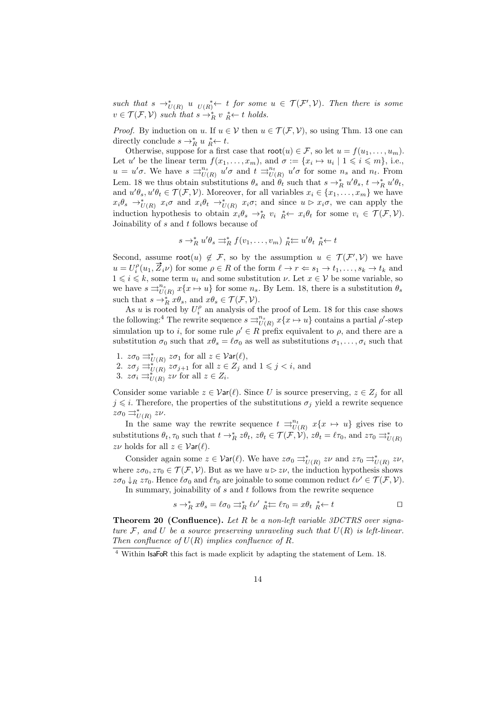such that  $s \to_{U(R)}^* u_{U(R)}^* \leftarrow t$  for some  $u \in \mathcal{T}(\mathcal{F}', \mathcal{V})$ . Then there is some  $v \in \mathcal{T}(\mathcal{F}, \mathcal{V})$  such that  $s \to_R^* v \underset{R}{*} \leftarrow t$  holds.

*Proof.* By induction on u. If  $u \in V$  then  $u \in \mathcal{T}(\mathcal{F}, V)$ , so using Thm. 13 one can directly conclude  $s \to_R^* u \stackrel{*}{R} \leftarrow t$ .

Otherwise, suppose for a first case that  $\text{root}(u) \in \mathcal{F}$ , so let  $u = f(u_1, \ldots, u_m)$ . Let u' be the linear term  $f(x_1,...,x_m)$ , and  $\sigma := \{x_i \mapsto u_i \mid 1 \leq i \leq m\}$ , i.e.,  $u = u' \sigma$ . We have  $s \rightrightarrows_{U(R)}^{n_s} u' \sigma$  and  $t \rightrightarrows_{U(R)}^{n_t} u' \sigma$  for some  $n_s$  and  $n_t$ . From Lem. 18 we thus obtain substitutions  $\theta_s$  and  $\theta_t$  such that  $s \to_R^* u' \theta_s$ ,  $t \to_R^* u' \theta_t$ , and  $u'\theta_s, u'\theta_t \in \mathcal{T}(\mathcal{F}, \mathcal{V})$ . Moreover, for all variables  $x_i \in \{x_1, \ldots, x_m\}$  we have  $x_i\theta_s \rightarrow_{U(R)}^* x_i\sigma$  and  $x_i\theta_t \rightarrow_{U(R)}^* x_i\sigma$ ; and since  $u \triangleright x_i\sigma$ , we can apply the induction hypothesis to obtain  $x_i \theta_s \to_R^* v_i \underset{R}{*} \leftarrow x_i \theta_t$  for some  $v_i \in \mathcal{T}(\mathcal{F}, \mathcal{V})$ . Joinability of  $s$  and  $t$  follows because of

$$
s \to_R^* u' \theta_s \rightrightarrows_R^* f(v_1, \ldots, v_m) \; \underset{R}{\not\approx} \; u' \theta_t \; \underset{R}{\not\sim} \; t
$$

Second, assume  $root(u) \notin \mathcal{F}$ , so by the assumption  $u \in \mathcal{T}(\mathcal{F}', \mathcal{V})$  we have becond, assume root( $u$ )  $\notin$   $\mathcal{F}$ , so by the assumption  $u \in \mathcal{F}$  ( $\mathcal{F}$ ,  $\mathcal{V}$ ) we have  $u = U_i^{\rho}(u_1, \vec{Z}_i \nu)$  for some  $\rho \in R$  of the form  $\ell \to r \Leftarrow s_1 \to t_1, \ldots, s_k \to t_k$  and  $1 \leq i \leq k$ , some term  $u_i$  and some substitution  $\nu$ . Let  $x \in \mathcal{V}$  be some variable, so we have  $s \rightrightarrows_{U(R)}^{n_s} x\{x \mapsto u\}$  for some  $n_s$ . By Lem. 18, there is a substitution  $\theta_s$ such that  $s \to_R^* x \theta_s$ , and  $x \theta_s \in \mathcal{T}(\mathcal{F}, \mathcal{V})$ .

As u is rooted by  $U_i^{\rho}$  an analysis of the proof of Lem. 18 for this case shows the following:<sup>4</sup> The rewrite sequence  $s \rightrightarrows_{U(R)}^{n_s} x\{x \mapsto u\}$  contains a partial  $\rho'$ -step simulation up to i, for some rule  $\rho' \in R$  prefix equivalent to  $\rho$ , and there are a substitution  $\sigma_0$  such that  $x\theta_s = \ell \sigma_0$  as well as substitutions  $\sigma_1, \ldots, \sigma_i$  such that

1.  $z\sigma_0 \rightrightarrows^*_{U(R)} z\sigma_1$  for all  $z \in \mathcal{V}\text{ar}(\ell)$ ,

- 2.  $z\sigma_j \rightrightarrows_{U(R)}^{V(R)} z\sigma_{j+1}$  for all  $z \in Z_j$  and  $1 \leqslant j < i$ , and
- 3.  $z\sigma_i \stackrel{\rightarrow}{\Rightarrow}^*_{U(R)} z\nu$  for all  $z \in Z_i$ .

Consider some variable  $z \in \mathcal{V}ar(\ell)$ . Since U is source preserving,  $z \in Z_i$  for all  $j \leq i$ . Therefore, the properties of the substitutions  $\sigma_j$  yield a rewrite sequence  $z\sigma_0 \rightrightarrows^*_{U(R)} z\nu$ .

In the same way the rewrite sequence  $t \rightrightarrows_{U(R)}^{n_t} x\{x \mapsto u\}$  gives rise to substitutions  $\theta_t$ ,  $\tau_0$  such that  $t \to_R^* z \theta_t$ ,  $z\theta_t \in \mathcal{T}(\mathcal{F}, \mathcal{V})$ ,  $z\theta_t = \ell \tau_0$ , and  $z\tau_0 \rightrightarrows_{U(R)}^*$  $z\nu$  holds for all  $z \in \mathcal{V}ar(\ell)$ .

Consider again some  $z \in \mathcal{V}\text{ar}(\ell)$ . We have  $z\sigma_0 \rightrightarrows_{U(R)}^* z\nu$  and  $z\tau_0 \rightrightarrows_{U(R)}^* z\nu$ , where  $z\sigma_0, z\tau_0 \in \mathcal{T}(\mathcal{F}, \mathcal{V})$ . But as we have  $u \triangleright z\nu$ , the induction hypothesis shows  $z\sigma_0 \downarrow_R z\tau_0$ . Hence  $\ell\sigma_0$  and  $\ell\tau_0$  are joinable to some common reduct  $\ell\nu' \in \mathcal{T}(\mathcal{F}, \mathcal{V})$ .

In summary, joinability of  $s$  and  $t$  follows from the rewrite sequence

$$
s \to_R^* x \theta_s = \ell \sigma_0 \rightrightarrows_R^* \ell \nu' \rightrightarrows_L^* \ell \tau_0 = x \theta_t \rightrightarrows_L^* \ell \tau
$$

**Theorem 20 (Confluence).** Let  $R$  be a non-left variable 3DCTRS over signature F, and U be a source preserving unraveling such that  $U(R)$  is left-linear. Then confluence of  $U(R)$  implies confluence of R.

<sup>4</sup> Within IsaFoR this fact is made explicit by adapting the statement of Lem. 18.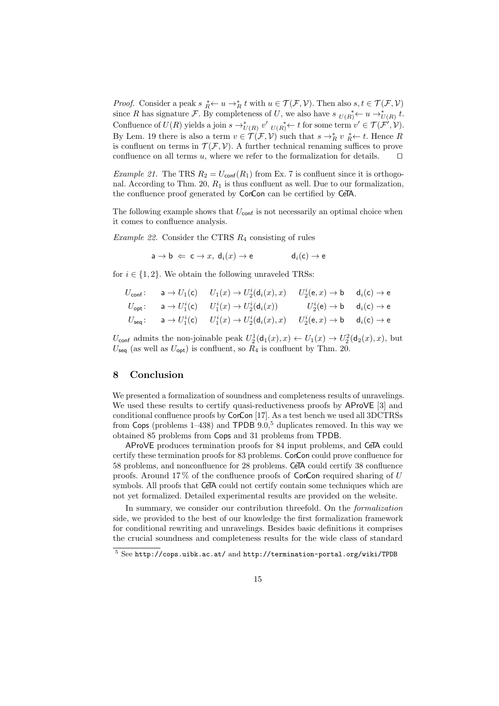*Proof.* Consider a peak  $s \underset{R}{*} \leftarrow u \longrightarrow_R^* t$  with  $u \in \mathcal{T}(\mathcal{F}, \mathcal{V})$ . Then also  $s, t \in \mathcal{T}(\mathcal{F}, \mathcal{V})$ since R has signature F. By completeness of U, we also have  $s \big|_{U(R)}^* \leftarrow u \rightarrow_{U(R)}^* t$ . Confluence of  $U(R)$  yields a join  $s \to_{U(R)}^* v'_{U(R)} \to t$  for some term  $v' \in \mathcal{T}(\mathcal{F}', \mathcal{V})$ . By Lem. 19 there is also a term  $v \in \mathcal{T}(\mathcal{F}, \mathcal{V})$  such that  $s \to_R^* v_R^* \leftarrow t$ . Hence R is confluent on terms in  $\mathcal{T}(\mathcal{F}, \mathcal{V})$ . A further technical renaming suffices to prove confluence on all terms u, where we refer to the formalization for details.  $\square$ 

*Example 21.* The TRS  $R_2 = U_{\text{conf}}(R_1)$  from Ex. 7 is confluent since it is orthogonal. According to Thm. 20,  $R_1$  is thus confluent as well. Due to our formalization, the confluence proof generated by ConCon can be certified by CeTA.

The following example shows that  $U_{\text{conf}}$  is not necessarily an optimal choice when it comes to confluence analysis.

*Example 22.* Consider the CTRS  $R_4$  consisting of rules

$$
\mathsf{a} \to \mathsf{b} \ \Leftarrow \ \mathsf{c} \to x, \ \mathsf{d}_i(x) \to \mathsf{e} \qquad \qquad \mathsf{d}_i(\mathsf{c}) \to \mathsf{e}
$$

for  $i \in \{1, 2\}$ . We obtain the following unraveled TRSs:

$$
U_{\text{conf}}: \quad \mathsf{a} \to U_1(\mathsf{c}) \quad U_1(x) \to U_2^i(\mathsf{d}_i(x), x) \quad U_2^i(\mathsf{e}, x) \to \mathsf{b} \quad \mathsf{d}_i(\mathsf{c}) \to \mathsf{e}
$$
\n
$$
U_{\text{opt}}: \quad \mathsf{a} \to U_1^i(\mathsf{c}) \quad U_1^i(x) \to U_2^i(\mathsf{d}_i(x)) \quad U_2^i(\mathsf{e}) \to \mathsf{b} \quad \mathsf{d}_i(\mathsf{c}) \to \mathsf{e}
$$
\n
$$
U_{\text{seq}}: \quad \mathsf{a} \to U_1^i(\mathsf{c}) \quad U_1^i(x) \to U_2^i(\mathsf{d}_i(x), x) \quad U_2^i(\mathsf{e}, x) \to \mathsf{b} \quad \mathsf{d}_i(\mathsf{c}) \to \mathsf{e}
$$

 $U_{\text{conf}}$  admits the non-joinable peak  $U_2^1(\mathsf{d}_1(x), x) \leftarrow U_1(x) \rightarrow U_2^2(\mathsf{d}_2(x), x)$ , but  $U_{\text{seq}}$  (as well as  $U_{\text{opt}}$ ) is confluent, so  $R_4$  is confluent by Thm. 20.

## 8 Conclusion

We presented a formalization of soundness and completeness results of unravelings. We used these results to certify quasi-reductiveness proofs by AProVE [3] and conditional confluence proofs by ConCon [17]. As a test bench we used all 3DCTRSs from Cops (problems  $1-438$ ) and TPDB  $9.0,5$  duplicates removed. In this way we obtained 85 problems from Cops and 31 problems from TPDB.

AProVE produces termination proofs for 84 input problems, and CeTA could certify these termination proofs for 83 problems. ConCon could prove confluence for 58 problems, and nonconfluence for 28 problems. CeTA could certify 38 confluence proofs. Around 17% of the confluence proofs of ConCon required sharing of  $U$ symbols. All proofs that CeTA could not certify contain some techniques which are not yet formalized. Detailed experimental results are provided on the website.

In summary, we consider our contribution threefold. On the formalization side, we provided to the best of our knowledge the first formalization framework for conditional rewriting and unravelings. Besides basic definitions it comprises the crucial soundness and completeness results for the wide class of standard

 $^5$  See http://cops.uibk.ac.at/ and http://termination-portal.org/wiki/TPDB